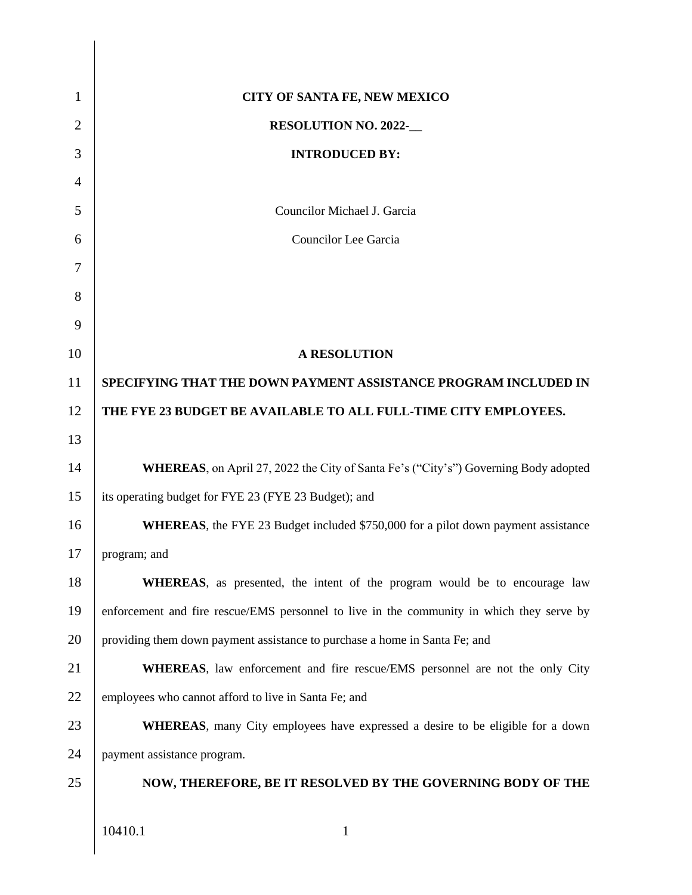| 1  | CITY OF SANTA FE, NEW MEXICO                                                                |  |  |
|----|---------------------------------------------------------------------------------------------|--|--|
| 2  | <b>RESOLUTION NO. 2022-</b>                                                                 |  |  |
| 3  | <b>INTRODUCED BY:</b>                                                                       |  |  |
| 4  |                                                                                             |  |  |
| 5  | Councilor Michael J. Garcia                                                                 |  |  |
| 6  | Councilor Lee Garcia                                                                        |  |  |
| 7  |                                                                                             |  |  |
| 8  |                                                                                             |  |  |
| 9  |                                                                                             |  |  |
| 10 | <b>A RESOLUTION</b>                                                                         |  |  |
| 11 | SPECIFYING THAT THE DOWN PAYMENT ASSISTANCE PROGRAM INCLUDED IN                             |  |  |
| 12 | THE FYE 23 BUDGET BE AVAILABLE TO ALL FULL-TIME CITY EMPLOYEES.                             |  |  |
| 13 |                                                                                             |  |  |
| 14 | <b>WHEREAS</b> , on April 27, 2022 the City of Santa Fe's ("City's") Governing Body adopted |  |  |
| 15 | its operating budget for FYE 23 (FYE 23 Budget); and                                        |  |  |
| 16 | <b>WHEREAS</b> , the FYE 23 Budget included \$750,000 for a pilot down payment assistance   |  |  |
| 17 | program; and                                                                                |  |  |
| 18 | <b>WHEREAS</b> , as presented, the intent of the program would be to encourage law          |  |  |
| 19 | enforcement and fire rescue/EMS personnel to live in the community in which they serve by   |  |  |
| 20 | providing them down payment assistance to purchase a home in Santa Fe; and                  |  |  |
| 21 | <b>WHEREAS</b> , law enforcement and fire rescue/EMS personnel are not the only City        |  |  |
| 22 | employees who cannot afford to live in Santa Fe; and                                        |  |  |
| 23 | <b>WHEREAS</b> , many City employees have expressed a desire to be eligible for a down      |  |  |
| 24 | payment assistance program.                                                                 |  |  |
| 25 | NOW, THEREFORE, BE IT RESOLVED BY THE GOVERNING BODY OF THE                                 |  |  |
|    | 10410.1<br>1                                                                                |  |  |
|    |                                                                                             |  |  |